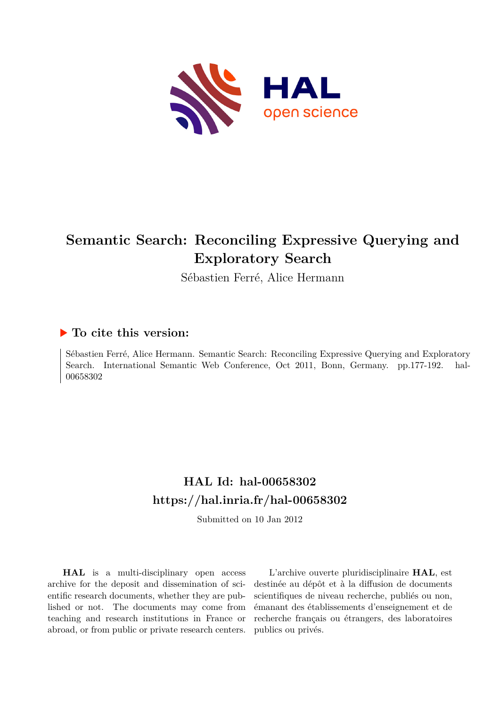

# **Semantic Search: Reconciling Expressive Querying and Exploratory Search**

Sébastien Ferré, Alice Hermann

# **To cite this version:**

Sébastien Ferré, Alice Hermann. Semantic Search: Reconciling Expressive Querying and Exploratory Search. International Semantic Web Conference, Oct 2011, Bonn, Germany. pp.177-192. hal-00658302

# **HAL Id: hal-00658302 <https://hal.inria.fr/hal-00658302>**

Submitted on 10 Jan 2012

**HAL** is a multi-disciplinary open access archive for the deposit and dissemination of scientific research documents, whether they are published or not. The documents may come from teaching and research institutions in France or abroad, or from public or private research centers.

L'archive ouverte pluridisciplinaire **HAL**, est destinée au dépôt et à la diffusion de documents scientifiques de niveau recherche, publiés ou non, émanant des établissements d'enseignement et de recherche français ou étrangers, des laboratoires publics ou privés.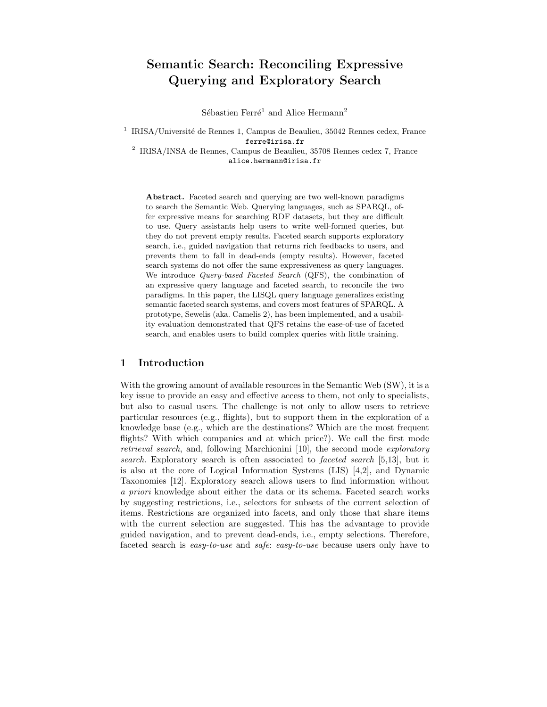# Semantic Search: Reconciling Expressive Querying and Exploratory Search

Sébastien Ferré<sup>1</sup> and Alice Hermann<sup>2</sup>

<sup>1</sup> IRISA/Université de Rennes 1, Campus de Beaulieu, 35042 Rennes cedex, France ferre@irisa.fr 2 IRISA/INSA de Rennes, Campus de Beaulieu, 35708 Rennes cedex 7, France alice.hermann@irisa.fr

Abstract. Faceted search and querying are two well-known paradigms to search the Semantic Web. Querying languages, such as SPARQL, offer expressive means for searching RDF datasets, but they are difficult to use. Query assistants help users to write well-formed queries, but they do not prevent empty results. Faceted search supports exploratory search, i.e., guided navigation that returns rich feedbacks to users, and prevents them to fall in dead-ends (empty results). However, faceted search systems do not offer the same expressiveness as query languages. We introduce *Query-based Faceted Search* (QFS), the combination of an expressive query language and faceted search, to reconcile the two paradigms. In this paper, the LISQL query language generalizes existing semantic faceted search systems, and covers most features of SPARQL. A prototype, Sewelis (aka. Camelis 2), has been implemented, and a usability evaluation demonstrated that QFS retains the ease-of-use of faceted search, and enables users to build complex queries with little training.

# 1 Introduction

With the growing amount of available resources in the Semantic Web (SW), it is a key issue to provide an easy and effective access to them, not only to specialists, but also to casual users. The challenge is not only to allow users to retrieve particular resources (e.g., flights), but to support them in the exploration of a knowledge base (e.g., which are the destinations? Which are the most frequent flights? With which companies and at which price?). We call the first mode retrieval search, and, following Marchionini [10], the second mode exploratory search. Exploratory search is often associated to faceted search [5,13], but it is also at the core of Logical Information Systems (LIS) [4,2], and Dynamic Taxonomies [12]. Exploratory search allows users to find information without a priori knowledge about either the data or its schema. Faceted search works by suggesting restrictions, i.e., selectors for subsets of the current selection of items. Restrictions are organized into facets, and only those that share items with the current selection are suggested. This has the advantage to provide guided navigation, and to prevent dead-ends, i.e., empty selections. Therefore, faceted search is easy-to-use and safe: easy-to-use because users only have to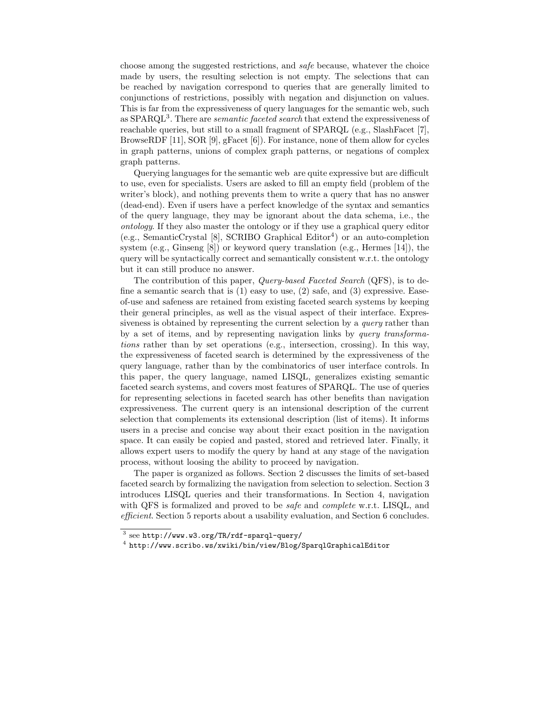choose among the suggested restrictions, and safe because, whatever the choice made by users, the resulting selection is not empty. The selections that can be reached by navigation correspond to queries that are generally limited to conjunctions of restrictions, possibly with negation and disjunction on values. This is far from the expressiveness of query languages for the semantic web, such as SPARQL<sup>3</sup>. There are *semantic faceted search* that extend the expressiveness of reachable queries, but still to a small fragment of SPARQL (e.g., SlashFacet [7], BrowseRDF [11], SOR [9], gFacet [6]). For instance, none of them allow for cycles in graph patterns, unions of complex graph patterns, or negations of complex graph patterns.

Querying languages for the semantic web are quite expressive but are difficult to use, even for specialists. Users are asked to fill an empty field (problem of the writer's block), and nothing prevents them to write a query that has no answer (dead-end). Even if users have a perfect knowledge of the syntax and semantics of the query language, they may be ignorant about the data schema, i.e., the ontology. If they also master the ontology or if they use a graphical query editor (e.g., SemanticCrystal [8], SCRIBO Graphical Editor<sup>4</sup> ) or an auto-completion system (e.g., Ginseng [8]) or keyword query translation (e.g., Hermes [14]), the query will be syntactically correct and semantically consistent w.r.t. the ontology but it can still produce no answer.

The contribution of this paper, *Query-based Faceted Search* (QFS), is to define a semantic search that is  $(1)$  easy to use,  $(2)$  safe, and  $(3)$  expressive. Easeof-use and safeness are retained from existing faceted search systems by keeping their general principles, as well as the visual aspect of their interface. Expressiveness is obtained by representing the current selection by a *query* rather than by a set of items, and by representing navigation links by query transformations rather than by set operations (e.g., intersection, crossing). In this way, the expressiveness of faceted search is determined by the expressiveness of the query language, rather than by the combinatorics of user interface controls. In this paper, the query language, named LISQL, generalizes existing semantic faceted search systems, and covers most features of SPARQL. The use of queries for representing selections in faceted search has other benefits than navigation expressiveness. The current query is an intensional description of the current selection that complements its extensional description (list of items). It informs users in a precise and concise way about their exact position in the navigation space. It can easily be copied and pasted, stored and retrieved later. Finally, it allows expert users to modify the query by hand at any stage of the navigation process, without loosing the ability to proceed by navigation.

The paper is organized as follows. Section 2 discusses the limits of set-based faceted search by formalizing the navigation from selection to selection. Section 3 introduces LISQL queries and their transformations. In Section 4, navigation with QFS is formalized and proved to be *safe* and *complete* w.r.t. LISQL, and efficient. Section 5 reports about a usability evaluation, and Section 6 concludes.

 $3$  see http://www.w3.org/TR/rdf-sparql-query/

<sup>4</sup> http://www.scribo.ws/xwiki/bin/view/Blog/SparqlGraphicalEditor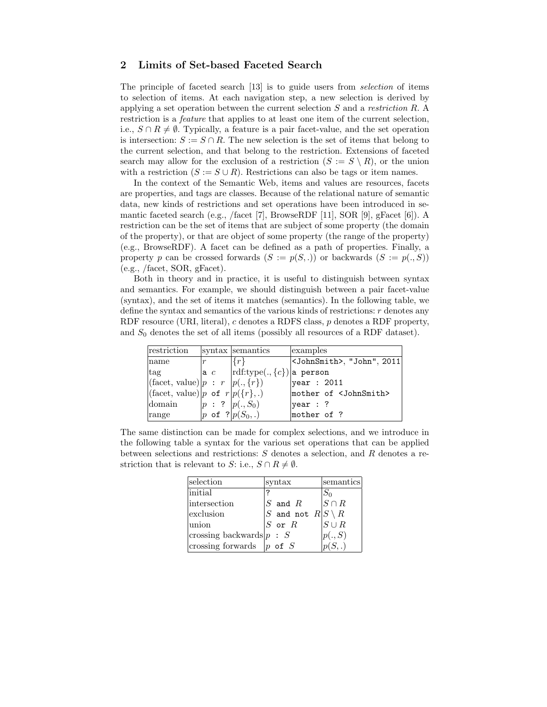## 2 Limits of Set-based Faceted Search

The principle of faceted search [13] is to guide users from selection of items to selection of items. At each navigation step, a new selection is derived by applying a set operation between the current selection  $S$  and a restriction  $R$ . A restriction is a feature that applies to at least one item of the current selection, i.e.,  $S \cap R \neq \emptyset$ . Typically, a feature is a pair facet-value, and the set operation is intersection:  $S := S \cap R$ . The new selection is the set of items that belong to the current selection, and that belong to the restriction. Extensions of faceted search may allow for the exclusion of a restriction  $(S := S \setminus R)$ , or the union with a restriction  $(S := S \cup R)$ . Restrictions can also be tags or item names.

In the context of the Semantic Web, items and values are resources, facets are properties, and tags are classes. Because of the relational nature of semantic data, new kinds of restrictions and set operations have been introduced in semantic faceted search (e.g., /facet [7], BrowseRDF [11], SOR [9], gFacet [6]). A restriction can be the set of items that are subject of some property (the domain of the property), or that are object of some property (the range of the property) (e.g., BrowseRDF). A facet can be defined as a path of properties. Finally, a property p can be crossed forwards  $(S := p(S, .))$  or backwards  $(S := p(., S))$ (e.g., /facet, SOR, gFacet).

Both in theory and in practice, it is useful to distinguish between syntax and semantics. For example, we should distinguish between a pair facet-value (syntax), and the set of items it matches (semantics). In the following table, we define the syntax and semantics of the various kinds of restrictions: r denotes any RDF resource (URI, literal), c denotes a RDFS class, p denotes a RDF property, and  $S_0$  denotes the set of all items (possibly all resources of a RDF dataset).

| restriction                                                                      | syntax semantics         | examples                              |
|----------------------------------------------------------------------------------|--------------------------|---------------------------------------|
| name                                                                             | $\{r\}$                  | <johnsmith>, "John", 2011</johnsmith> |
| $\tau$ tag                                                                       |                          |                                       |
| $ (\text{facet}, \text{value}) p : r  p(., \lbrace r \rbrace) $                  |                          | year: 2011                            |
| $\left  \text{(facet, value)} \right  p \text{ of } r   p(\lbrace r \rbrace,. )$ |                          | mother of <johnsmith></johnsmith>     |
| domain                                                                           | $ p : ?  p(., S_0) $     | year: ?                               |
| range                                                                            | $ p\>$ of ? $ p(S_0,.) $ | mother of ?                           |

The same distinction can be made for complex selections, and we introduce in the following table a syntax for the various set operations that can be applied between selections and restrictions: S denotes a selection, and R denotes a restriction that is relevant to S: i.e.,  $S \cap R \neq \emptyset$ .

| selection                   | syntax                          | semantics    |
|-----------------------------|---------------------------------|--------------|
| initial                     | 7                               |              |
| intersection                | $S$ and $R$                     | $ S \cap R$  |
| exclusion                   | $ S $ and not $R S \setminus R$ |              |
| lunion                      | $ S \>$ or $R$                  | $ S \cup R $ |
| crossing backwards $p : S$  |                                 | p(.,S)       |
| crossing forwards $ p$ of S |                                 |              |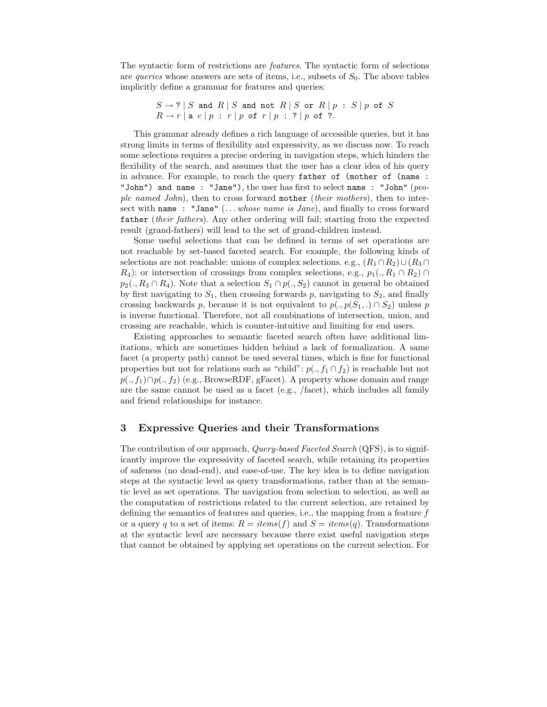The syntactic form of restrictions are features. The syntactic form of selections are *queries* whose answers are sets of items, i.e., subsets of  $S_0$ . The above tables implicitly define a grammar for features and queries:

$$
S \rightarrow ? \mid S \text{ and } R \mid S \text{ and not } R \mid S \text{ or } R \mid p \::\: S \mid p \text{ of } S
$$
\n
$$
R \rightarrow r \mid a \ c \mid p \::\: r \mid p \text{ of } r \mid p \::\: ? \mid p \text{ of } ?
$$

This grammar already defines a rich language of accessible queries, but it has strong limits in terms of flexibility and expressivity, as we discuss now. To reach some selections requires a precise ordering in navigation steps, which hinders the flexibility of the search, and assumes that the user has a clear idea of his query in advance. For example, to reach the query father of (mother of (name : "John") and name : "Jane"), the user has first to select name : "John" ( $peo$ ple named John), then to cross forward mother (their mothers), then to intersect with name: "Jane"  $(...$  whose name is Jane), and finally to cross forward father (their fathers). Any other ordering will fail; starting from the expected result (grand-fathers) will lead to the set of grand-children instead.

Some useful selections that can be defined in terms of set operations are not reachable by set-based faceted search. For example, the following kinds of selections are not reachable: unions of complex selections. e.g.,  $(R_1 \cap R_2) \cup (R_3 \cap R_4)$  $R_4$ ); or intersection of crossings from complex selections, e.g.,  $p_1(., R_1 \cap R_2) \cap$  $p_2(.,R_3 \cap R_4)$ . Note that a selection  $S_1 \cap p(.,S_2)$  cannot in general be obtained by first navigating to  $S_1$ , then crossing forwards p, navigating to  $S_2$ , and finally crossing backwards p, because it is not equivalent to  $p(.,p(S_1,.) \cap S_2)$  unless p is inverse functional. Therefore, not all combinations of intersection, union, and crossing are reachable, which is counter-intuitive and limiting for end users.

Existing approaches to semantic faceted search often have additional limitations, which are sometimes hidden behind a lack of formalization. A same facet (a property path) cannot be used several times, which is fine for functional properties but not for relations such as "child":  $p(., f_1 \cap f_2)$  is reachable but not  $p(.,f_1) \cap p(.,f_2)$  (e.g., BrowseRDF, gFacet). A property whose domain and range are the same cannot be used as a facet (e.g., /facet), which includes all family and friend relationships for instance.

### 3 Expressive Queries and their Transformations

The contribution of our approach, *Query-based Faceted Search* (QFS), is to significantly improve the expressivity of faceted search, while retaining its properties of safeness (no dead-end), and ease-of-use. The key idea is to define navigation steps at the syntactic level as query transformations, rather than at the semantic level as set operations. The navigation from selection to selection, as well as the computation of restrictions related to the current selection, are retained by defining the semantics of features and queries, i.e., the mapping from a feature f or a query q to a set of items:  $R = items(f)$  and  $S = items(q)$ . Transformations at the syntactic level are necessary because there exist useful navigation steps that cannot be obtained by applying set operations on the current selection. For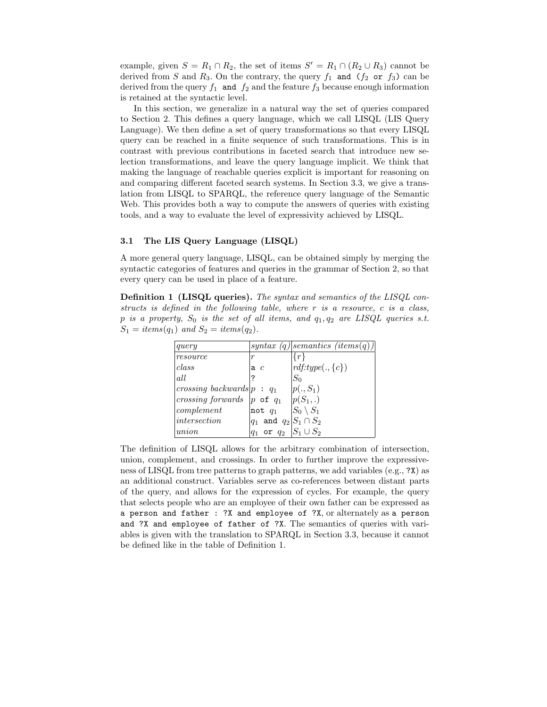example, given  $S = R_1 \cap R_2$ , the set of items  $S' = R_1 \cap (R_2 \cup R_3)$  cannot be derived from S and R<sub>3</sub>. On the contrary, the query  $f_1$  and  $(f_2$  or  $f_3$ ) can be derived from the query  $f_1$  and  $f_2$  and the feature  $f_3$  because enough information is retained at the syntactic level.

In this section, we generalize in a natural way the set of queries compared to Section 2. This defines a query language, which we call LISQL (LIS Query Language). We then define a set of query transformations so that every LISQL query can be reached in a finite sequence of such transformations. This is in contrast with previous contributions in faceted search that introduce new selection transformations, and leave the query language implicit. We think that making the language of reachable queries explicit is important for reasoning on and comparing different faceted search systems. In Section 3.3, we give a translation from LISQL to SPARQL, the reference query language of the Semantic Web. This provides both a way to compute the answers of queries with existing tools, and a way to evaluate the level of expressivity achieved by LISQL.

# 3.1 The LIS Query Language (LISQL)

A more general query language, LISQL, can be obtained simply by merging the syntactic categories of features and queries in the grammar of Section 2, so that every query can be used in place of a feature.

Definition 1 (LISQL queries). The syntax and semantics of the LISQL constructs is defined in the following table, where r is a resource, c is a class, p is a property,  $S_0$  is the set of all items, and  $q_1, q_2$  are LISQL queries s.t.  $S_1 = items(q_1)$  and  $S_2 = items(q_2)$ .

| query        |                               |                                 | syntax (q) semantics (items(q)) |
|--------------|-------------------------------|---------------------------------|---------------------------------|
| resource     |                               | r                               |                                 |
| class        |                               | a $c$                           | $\mathit{rdf:type}(., \{c\})$   |
| all          |                               |                                 | $S_0$                           |
|              | crossing backwards $ p : q_1$ |                                 | $p(., S_1)$                     |
|              | crossing forwards             | $ p \circ f q_1 $               | $p(S_1,.)$                      |
|              | complement                    | not $q_1$                       | $S_0 \setminus S_1$             |
| intersection |                               | and $q_2 S_1 \cap S_2$<br>$q_1$ |                                 |
| union        |                               | or $q_2$<br>$q_1$               | $ S_1 \cup S_2 $                |

The definition of LISQL allows for the arbitrary combination of intersection, union, complement, and crossings. In order to further improve the expressiveness of LISQL from tree patterns to graph patterns, we add variables (e.g., ?X) as an additional construct. Variables serve as co-references between distant parts of the query, and allows for the expression of cycles. For example, the query that selects people who are an employee of their own father can be expressed as a person and father : ?X and employee of ?X, or alternately as a person and ?X and employee of father of ?X. The semantics of queries with variables is given with the translation to SPARQL in Section 3.3, because it cannot be defined like in the table of Definition 1.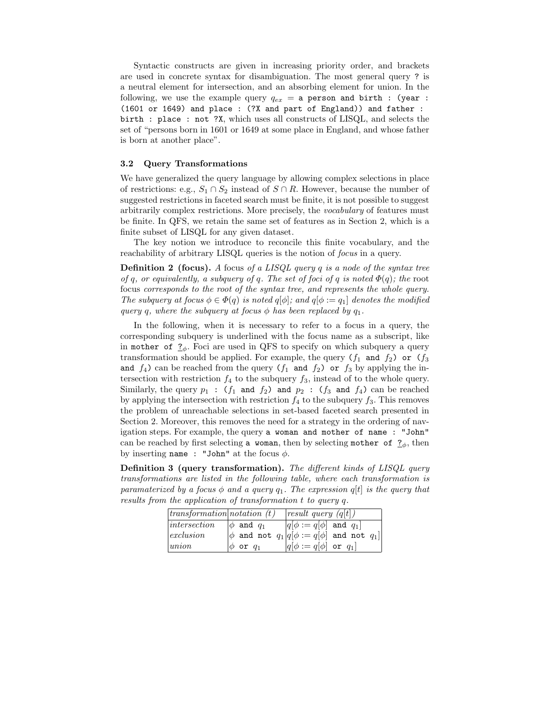Syntactic constructs are given in increasing priority order, and brackets are used in concrete syntax for disambiguation. The most general query ? is a neutral element for intersection, and an absorbing element for union. In the following, we use the example query  $q_{ex} = a$  person and birth : (year : (1601 or 1649) and place : (?X and part of England)) and father : birth : place : not ?X, which uses all constructs of LISQL, and selects the set of "persons born in 1601 or 1649 at some place in England, and whose father is born at another place".

#### 3.2 Query Transformations

We have generalized the query language by allowing complex selections in place of restrictions: e.g.,  $S_1 \cap S_2$  instead of  $S \cap R$ . However, because the number of suggested restrictions in faceted search must be finite, it is not possible to suggest arbitrarily complex restrictions. More precisely, the vocabulary of features must be finite. In QFS, we retain the same set of features as in Section 2, which is a finite subset of LISQL for any given dataset.

The key notion we introduce to reconcile this finite vocabulary, and the reachability of arbitrary LISQL queries is the notion of focus in a query.

**Definition 2 (focus).** A focus of a LISQL query q is a node of the syntax tree of q, or equivalently, a subquery of q. The set of foci of q is noted  $\Phi(q)$ ; the root focus corresponds to the root of the syntax tree, and represents the whole query. The subquery at focus  $\phi \in \Phi(q)$  is noted  $q[\phi]$ ; and  $q[\phi := q_1]$  denotes the modified query q, where the subquery at focus  $\phi$  has been replaced by  $q_1$ .

In the following, when it is necessary to refer to a focus in a query, the corresponding subquery is underlined with the focus name as a subscript, like in mother of  $?_{\phi}$ . Foci are used in QFS to specify on which subquery a query transformation should be applied. For example, the query  $(f_1 \text{ and } f_2)$  or  $(f_3 \text{)}$ and  $f_4$ ) can be reached from the query  $(f_1$  and  $f_2$ ) or  $f_3$  by applying the intersection with restriction  $f_4$  to the subquery  $f_3$ , instead of to the whole query. Similarly, the query  $p_1$  :  $(f_1$  and  $f_2$ ) and  $p_2$  :  $(f_3$  and  $f_4$ ) can be reached by applying the intersection with restriction  $f_4$  to the subquery  $f_3$ . This removes the problem of unreachable selections in set-based faceted search presented in Section 2. Moreover, this removes the need for a strategy in the ordering of navigation steps. For example, the query a woman and mother of name : "John" can be reached by first selecting a woman, then by selecting mother of  $\frac{?}{\sqrt{6}}$ , then by inserting name : "John" at the focus  $\phi$ .

Definition 3 (query transformation). The different kinds of LISQL query transformations are listed in the following table, where each transformation is paramaterized by a focus  $\phi$  and a query  $q_1$ . The expression q[t] is the query that results from the application of transformation t to query q.

| transformation  notation(t) |                      | $\vert \text{result query } (q[t]) \vert$                    |
|-----------------------------|----------------------|--------------------------------------------------------------|
| intersection                | $\phi$ and $q_1$     | $ q[\phi := q[\phi]$ and $q_1 $                              |
| $\vert exc lusion \vert$    |                      | $ \phi \text{ and not } q_1 q \phi := q[\phi]$ and not $q_1$ |
| union                       | $ \phi\>$ or $\>q_1$ | $ q \phi := q[\phi]$ or $q_1$                                |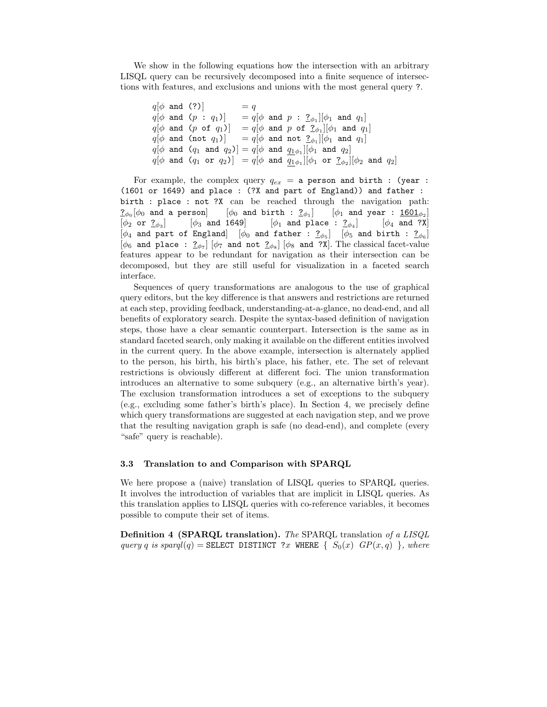We show in the following equations how the intersection with an arbitrary LISQL query can be recursively decomposed into a finite sequence of intersections with features, and exclusions and unions with the most general query ?.

| $q[\phi \text{ and } (?)]$                    | $= q$                                                                                                    |
|-----------------------------------------------|----------------------------------------------------------------------------------------------------------|
| $q[\phi \text{ and } (p : q_1)]$              | $= q[\phi \text{ and } p : \underline{?}_{\phi_1}][\phi_1 \text{ and } q_1]$                             |
| $q[\phi \text{ and } (p \text{ of } q_1)]$    | $= q[\phi \text{ and } p \text{ of } \underline{?}_{\phi_1}][\phi_1 \text{ and } q_1]$                   |
| $q[\phi \text{ and } (\text{not } q_1)]$      | $= q[\phi \text{ and } \text{not } \underline{?}_{\phi_1}][\phi_1 \text{ and } q_1]$                     |
| $q[\phi \text{ and } (q_1 \text{ and } q_2)]$ | $= q[\phi \text{ and } q_{1\phi_1}][\phi_1 \text{ and } q_2]$                                            |
| $q[\phi \text{ and } (q_1 \text{ or } q_2)]$  | $= q[\phi \text{ and } q_{1\phi_1}][\phi_1 \text{ or } \underline{?}_{\phi_2}][\phi_2 \text{ and } q_2]$ |

For example, the complex query  $q_{ex} = a$  person and birth : (year : (1601 or 1649) and place : (?X and part of England)) and father : birth : place : not ?X can be reached through the navigation path:  $\frac{?}{2\phi_0}[\phi_0$  and a person  $[\phi_0$  and birth :  $?_{\phi_1}]$  $]\qquad [\phi_1\> \text{ and year}\: : \> \underline{1601}_{\phi_2}]$  $[\phi_2$  or  $[\phi_3]$   $[\phi_3$  and 1649]  $[\phi_1$  and place :  $[\phi_4]$   $[\phi_4$  and ?X]  $[\phi_4$  and part of England]  $[\phi_0$  and father :  $\underline{?}_{\phi_5}]$   $[\phi_5$  and birth :  $\underline{?}_{\phi_6}]$  $[\phi_6$  and place :  $\underline{?}_{\phi_7}] [\phi_7$  and not  $\underline{?}_{\phi_8}] [\phi_8$  and ?X]. The classical facet-value features appear to be redundant for navigation as their intersection can be decomposed, but they are still useful for visualization in a faceted search interface.

Sequences of query transformations are analogous to the use of graphical query editors, but the key difference is that answers and restrictions are returned at each step, providing feedback, understanding-at-a-glance, no dead-end, and all benefits of exploratory search. Despite the syntax-based definition of navigation steps, those have a clear semantic counterpart. Intersection is the same as in standard faceted search, only making it available on the different entities involved in the current query. In the above example, intersection is alternately applied to the person, his birth, his birth's place, his father, etc. The set of relevant restrictions is obviously different at different foci. The union transformation introduces an alternative to some subquery (e.g., an alternative birth's year). The exclusion transformation introduces a set of exceptions to the subquery (e.g., excluding some father's birth's place). In Section 4, we precisely define which query transformations are suggested at each navigation step, and we prove that the resulting navigation graph is safe (no dead-end), and complete (every "safe" query is reachable).

#### 3.3 Translation to and Comparison with SPARQL

We here propose a (naive) translation of LISQL queries to SPARQL queries. It involves the introduction of variables that are implicit in LISQL queries. As this translation applies to LISQL queries with co-reference variables, it becomes possible to compute their set of items.

Definition 4 (SPARQL translation). The SPARQL translation of a LISQL query q is sparql(q) = SELECT DISTINCT ?x WHERE  $\{S_0(x) \text{ }GP(x,q) \}$ , where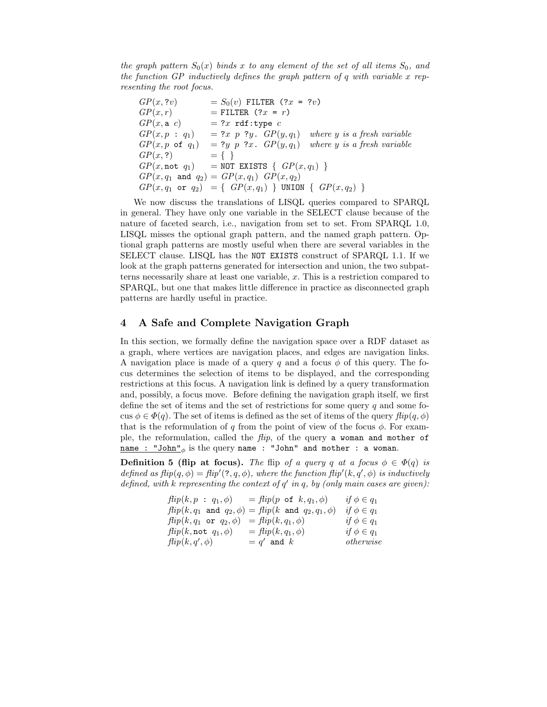the graph pattern  $S_0(x)$  binds x to any element of the set of all items  $S_0$ , and the function  $GP$  inductively defines the graph pattern of q with variable x representing the root focus.

 $GP(x, ?v) = S_0(v)$  FILTER  $(?x = ?v)$  $GP(x, r)$  = FILTER  $(?x = r)$  $GP(x, a \ c)$  = ?x rdf:type c  $GP(x, p : q_1) = ?x p ?y$ .  $GP(y, q_1)$  where y is a fresh variable  $GP(x, p \text{ of } q_1) = ?y p ?x$ .  $GP(y, q_1)$  where y is a fresh variable  $GP(x, ?) = \{\}$  $GP(x, \texttt{not } q_1)$  = NOT EXISTS {  $GP(x, q_1)$  }  $GP(x, q_1 \text{ and } q_2) = GP(x, q_1) \text{ } GP(x, q_2)$  $GP(x, q_1 \text{ or } q_2) = \{ GP(x, q_1) \}$  UNION  $\{ GP(x, q_2) \}$ 

We now discuss the translations of LISQL queries compared to SPARQL in general. They have only one variable in the SELECT clause because of the nature of faceted search, i.e., navigation from set to set. From SPARQL 1.0, LISQL misses the optional graph pattern, and the named graph pattern. Optional graph patterns are mostly useful when there are several variables in the SELECT clause. LISQL has the NOT EXISTS construct of SPARQL 1.1. If we look at the graph patterns generated for intersection and union, the two subpatterns necessarily share at least one variable,  $x$ . This is a restriction compared to SPARQL, but one that makes little difference in practice as disconnected graph patterns are hardly useful in practice.

# 4 A Safe and Complete Navigation Graph

In this section, we formally define the navigation space over a RDF dataset as a graph, where vertices are navigation places, and edges are navigation links. A navigation place is made of a query q and a focus  $\phi$  of this query. The focus determines the selection of items to be displayed, and the corresponding restrictions at this focus. A navigation link is defined by a query transformation and, possibly, a focus move. Before defining the navigation graph itself, we first define the set of items and the set of restrictions for some query q and some focus  $\phi \in \Phi(q)$ . The set of items is defined as the set of items of the query  $flip(q, \phi)$ that is the reformulation of q from the point of view of the focus  $\phi$ . For example, the reformulation, called the  $flip$ , of the query a woman and mother of <u>name : "John"</u> $_{\phi}$  is the query name : "John" and mother : a woman.

**Definition 5 (flip at focus).** The flip of a query q at a focus  $\phi \in \Phi(q)$  is defined as  $flip(q, \phi) = flip'(7, q, \phi)$ , where the function  $flip'(k, q', \phi)$  is inductively defined, with k representing the context of q' in q, by (only main cases are given):

| $flip(k, p : q_1, \phi)$                                  | $= flip(p \text{ of } k, q_1, \phi)$                                        | if $\phi \in q_1$ |
|-----------------------------------------------------------|-----------------------------------------------------------------------------|-------------------|
|                                                           | $flip(k, q_1 \text{ and } q_2, \phi) = flip(k \text{ and } q_2, q_1, \phi)$ | if $\phi \in q_1$ |
| $flip(k, q_1 \text{ or } q_2, \phi) = flip(k, q_1, \phi)$ |                                                                             | if $\phi \in q_1$ |
| $flip(k, \texttt{not } q_1, \phi)$                        | $= flip(k, q_1, \phi)$                                                      | if $\phi \in q_1$ |
| $flip(k, q', \phi)$                                       | $= q'$ and $k$                                                              | otherwise         |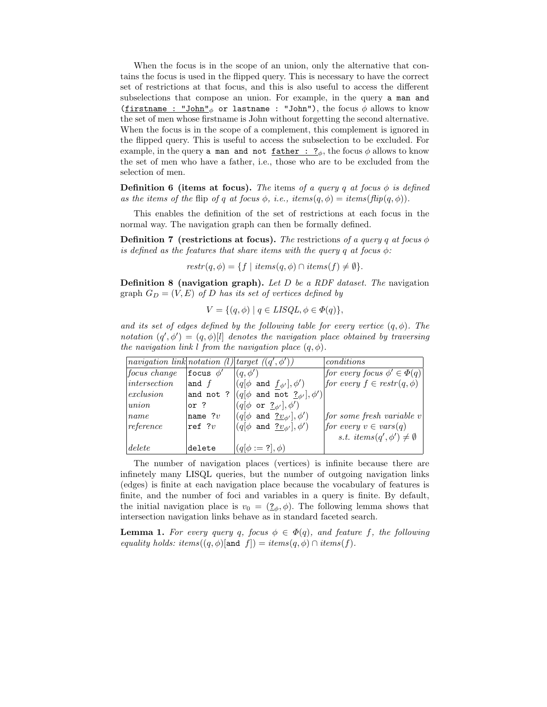When the focus is in the scope of an union, only the alternative that contains the focus is used in the flipped query. This is necessary to have the correct set of restrictions at that focus, and this is also useful to access the different subselections that compose an union. For example, in the query a man and (firstname : "John"<sub> $\phi$ </sub> or lastname : "John"), the focus  $\phi$  allows to know the set of men whose firstname is John without forgetting the second alternative. When the focus is in the scope of a complement, this complement is ignored in the flipped query. This is useful to access the subselection to be excluded. For example, in the query a man and not <u>father :  $?_{\phi}$ </u>, the focus  $\phi$  allows to know the set of men who have a father, i.e., those who are to be excluded from the selection of men.

**Definition 6 (items at focus).** The items of a query q at focus  $\phi$  is defined as the items of the flip of q at focus  $\phi$ , i.e., items $(q, \phi) =$  items(flip(q,  $\phi$ )).

This enables the definition of the set of restrictions at each focus in the normal way. The navigation graph can then be formally defined.

**Definition 7** (restrictions at focus). The restrictions of a query q at focus  $\phi$ is defined as the features that share items with the query q at focus  $\phi$ :

 $restr(q, \phi) = \{f \mid items(q, \phi) \cap items(f) \neq \emptyset\}.$ 

**Definition 8 (navigation graph).** Let  $D$  be a RDF dataset. The navigation graph  $G_D = (V, E)$  of D has its set of vertices defined by

 $V = \{ (q, \phi) \mid q \in \text{LISQL}, \phi \in \Phi(q) \},\$ 

and its set of edges defined by the following table for every vertice  $(q, \phi)$ . The notation  $(q', \phi') = (q, \phi)[l]$  denotes the navigation place obtained by traversing the navigation link l from the navigation place  $(q, \phi)$ .

| navigation link notation (l) target $((q', \phi'))$ |                                   |                                                            | conditions                              |
|-----------------------------------------------------|-----------------------------------|------------------------------------------------------------|-----------------------------------------|
| $ focus\ change$                                    | focus $\phi'$                     | $(q, \phi')$                                               | for every focus $\phi' \in \Phi(q)$     |
| intersection                                        | and $f$                           | $ (q[\phi \text{ and } f_{\phi'}], \phi') $                | for every $f \in restr(q, \phi)$        |
| $\vert$ exclusion                                   | and not ?                         | $ (q[\phi \text{ and not } \underline{?}_{\phi'}], \phi')$ |                                         |
| union                                               | or ?                              | $(q[\phi \text{ or } ?_{\phi'}], \phi')$                   |                                         |
| name                                                | name $?v$                         | $(q[\phi \text{ and } \underline{?v}_{\phi'}], \phi')$     | [for some fresh variable v]             |
| reference                                           | $\mathop{\sf lref}\nolimits\, ?v$ | $(q[\phi \text{ and } \underline{?v}_{\phi'}], \phi')$     | for every $v \in vars(q)$               |
|                                                     |                                   |                                                            | s.t. items $(q', \phi') \neq \emptyset$ |
| delet                                               | delete                            | $(q[\phi := ?], \phi)$                                     |                                         |

The number of navigation places (vertices) is infinite because there are infinetely many LISQL queries, but the number of outgoing navigation links (edges) is finite at each navigation place because the vocabulary of features is finite, and the number of foci and variables in a query is finite. By default, the initial navigation place is  $v_0 = (2\phi, \phi)$ . The following lemma shows that intersection navigation links behave as in standard faceted search.

**Lemma 1.** For every query q, focus  $\phi \in \Phi(q)$ , and feature f, the following equality holds: items $((q, \phi)$ [and f]) = items $(q, \phi) \cap items(f)$ .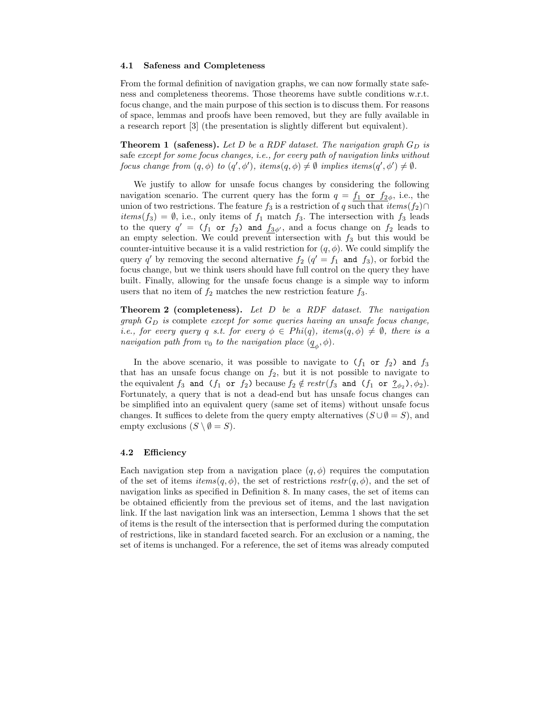#### 4.1 Safeness and Completeness

From the formal definition of navigation graphs, we can now formally state safeness and completeness theorems. Those theorems have subtle conditions w.r.t. focus change, and the main purpose of this section is to discuss them. For reasons of space, lemmas and proofs have been removed, but they are fully available in a research report [3] (the presentation is slightly different but equivalent).

**Theorem 1 (safeness).** Let D be a RDF dataset. The navigation graph  $G_D$  is safe except for some focus changes, i.e., for every path of navigation links without focus change from  $(q, \phi)$  to  $(q', \phi')$ , items $(q, \phi) \neq \emptyset$  implies items $(q', \phi') \neq \emptyset$ .

We justify to allow for unsafe focus changes by considering the following navigation scenario. The current query has the form  $q = f_1$  or  $f_{2\phi}$ , i.e., the union of two restrictions. The feature  $f_3$  is a restriction of q such that  $items(f_2) \cap$  $items(f_3) = \emptyset$ , i.e., only items of  $f_1$  match  $f_3$ . The intersection with  $f_3$  leads to the query  $q' = (f_1 \text{ or } f_2)$  and  $f_{3\phi'}$ , and a focus change on  $f_2$  leads to an empty selection. We could prevent intersection with  $f_3$  but this would be counter-intuitive because it is a valid restriction for  $(q, \phi)$ . We could simplify the query q' by removing the second alternative  $f_2$  ( $q' = f_1$  and  $f_3$ ), or forbid the focus change, but we think users should have full control on the query they have built. Finally, allowing for the unsafe focus change is a simple way to inform users that no item of  $f_2$  matches the new restriction feature  $f_3$ .

Theorem 2 (completeness). Let D be a RDF dataset. The navigation graph  $G_D$  is complete except for some queries having an unsafe focus change, i.e., for every query q s.t. for every  $\phi \in Phi(q)$ , items $(q, \phi) \neq \emptyset$ , there is a navigation path from  $v_0$  to the navigation place  $(\underline{q}_{\phi}, \phi)$ .

In the above scenario, it was possible to navigate to  $(f_1 \text{ or } f_2)$  and  $f_3$ that has an unsafe focus change on  $f_2$ , but it is not possible to navigate to the equivalent  $f_3$  and  $(f_1 \text{ or } f_2)$  because  $f_2 \notin restr(f_3 \text{ and } (f_1 \text{ or } \underline{?}_{\phi_2}), \phi_2)$ . Fortunately, a query that is not a dead-end but has unsafe focus changes can be simplified into an equivalent query (same set of items) without unsafe focus changes. It suffices to delete from the query empty alternatives  $(S \cup \emptyset = S)$ , and empty exclusions  $(S \setminus \emptyset = S)$ .

#### 4.2 Efficiency

Each navigation step from a navigation place  $(q, \phi)$  requires the computation of the set of items  $items(q, \phi)$ , the set of restrictions  $restr(q, \phi)$ , and the set of navigation links as specified in Definition 8. In many cases, the set of items can be obtained efficiently from the previous set of items, and the last navigation link. If the last navigation link was an intersection, Lemma 1 shows that the set of items is the result of the intersection that is performed during the computation of restrictions, like in standard faceted search. For an exclusion or a naming, the set of items is unchanged. For a reference, the set of items was already computed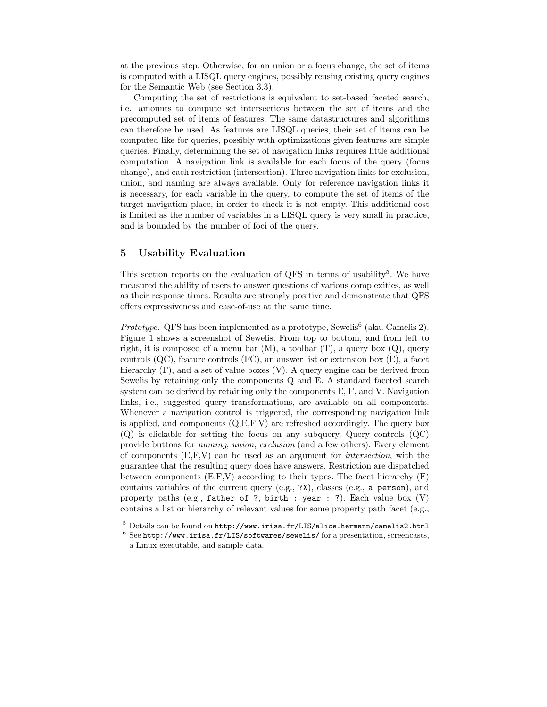at the previous step. Otherwise, for an union or a focus change, the set of items is computed with a LISQL query engines, possibly reusing existing query engines for the Semantic Web (see Section 3.3).

Computing the set of restrictions is equivalent to set-based faceted search, i.e., amounts to compute set intersections between the set of items and the precomputed set of items of features. The same datastructures and algorithms can therefore be used. As features are LISQL queries, their set of items can be computed like for queries, possibly with optimizations given features are simple queries. Finally, determining the set of navigation links requires little additional computation. A navigation link is available for each focus of the query (focus change), and each restriction (intersection). Three navigation links for exclusion, union, and naming are always available. Only for reference navigation links it is necessary, for each variable in the query, to compute the set of items of the target navigation place, in order to check it is not empty. This additional cost is limited as the number of variables in a LISQL query is very small in practice, and is bounded by the number of foci of the query.

# 5 Usability Evaluation

This section reports on the evaluation of QFS in terms of usability<sup>5</sup>. We have measured the ability of users to answer questions of various complexities, as well as their response times. Results are strongly positive and demonstrate that QFS offers expressiveness and ease-of-use at the same time.

Prototype. QFS has been implemented as a prototype, Sewelis<sup>6</sup> (aka. Camelis 2). Figure 1 shows a screenshot of Sewelis. From top to bottom, and from left to right, it is composed of a menu bar  $(M)$ , a toolbar  $(T)$ , a query box  $(Q)$ , query controls (QC), feature controls (FC), an answer list or extension box (E), a facet hierarchy  $(F)$ , and a set of value boxes  $(V)$ . A query engine can be derived from Sewelis by retaining only the components Q and E. A standard faceted search system can be derived by retaining only the components E, F, and V. Navigation links, i.e., suggested query transformations, are available on all components. Whenever a navigation control is triggered, the corresponding navigation link is applied, and components  $(Q, E, F, V)$  are refreshed accordingly. The query box (Q) is clickable for setting the focus on any subquery. Query controls (QC) provide buttons for naming, union, exclusion (and a few others). Every element of components  $(E, F, V)$  can be used as an argument for *intersection*, with the guarantee that the resulting query does have answers. Restriction are dispatched between components  $(E, F, V)$  according to their types. The facet hierarchy  $(F)$ contains variables of the current query (e.g.,  $\overline{?X}$ ), classes (e.g., a person), and property paths (e.g., father of ?, birth : year : ?). Each value box  $(V)$ contains a list or hierarchy of relevant values for some property path facet (e.g.,

 $5$  Details can be found on http://www.irisa.fr/LIS/alice.hermann/camelis2.html

<sup>6</sup> See http://www.irisa.fr/LIS/softwares/sewelis/ for a presentation, screencasts, a Linux executable, and sample data.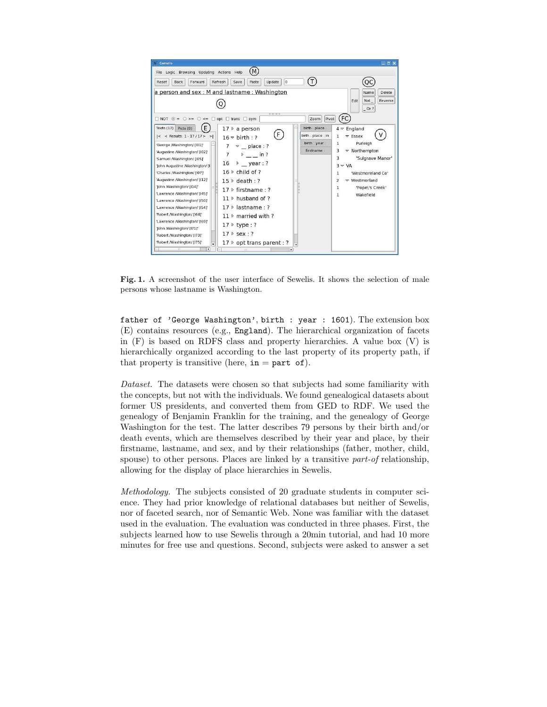

Fig. 1. A screenshot of the user interface of Sewelis. It shows the selection of male persons whose lastname is Washington.

father of 'George Washington', birth : year : 1601). The extension box (E) contains resources (e.g., England). The hierarchical organization of facets in  $(F)$  is based on RDFS class and property hierarchies. A value box  $(V)$  is hierarchically organized according to the last property of its property path, if that property is transitive (here,  $in = part of$ ).

Dataset. The datasets were chosen so that subjects had some familiarity with the concepts, but not with the individuals. We found genealogical datasets about former US presidents, and converted them from GED to RDF. We used the genealogy of Benjamin Franklin for the training, and the genealogy of George Washington for the test. The latter describes 79 persons by their birth and/or death events, which are themselves described by their year and place, by their firstname, lastname, and sex, and by their relationships (father, mother, child, spouse) to other persons. Places are linked by a transitive part-of relationship, allowing for the display of place hierarchies in Sewelis.

Methodology. The subjects consisted of 20 graduate students in computer science. They had prior knowledge of relational databases but neither of Sewelis, nor of faceted search, nor of Semantic Web. None was familiar with the dataset used in the evaluation. The evaluation was conducted in three phases. First, the subjects learned how to use Sewelis through a 20min tutorial, and had 10 more minutes for free use and questions. Second, subjects were asked to answer a set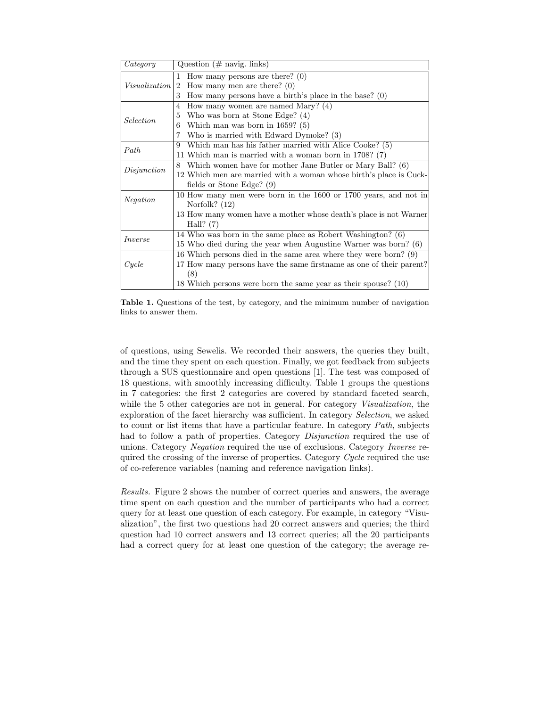| Category      | Question $(\# \text{ navig. links})$                                |
|---------------|---------------------------------------------------------------------|
|               | How many persons are there? $(0)$<br>$\mathbf{1}$                   |
| Visualization | How many men are there? $(0)$<br>$\overline{2}$                     |
|               | How many persons have a birth's place in the base? $(0)$<br>3       |
|               | How many women are named Mary? $(4)$<br>4                           |
| Selection     | Who was born at Stone Edge? (4)<br>5                                |
|               | Which man was born in $1659$ ? (5)<br>6                             |
|               | Who is married with Edward Dymoke? (3)<br>7                         |
| Path          | Which man has his father married with Alice Cooke? (5)<br>9         |
|               | 11 Which man is married with a woman born in 1708? (7)              |
| Disjunction   | Which women have for mother Jane Butler or Mary Ball? (6)<br>8      |
|               | 12 Which men are married with a woman whose birth's place is Cuck-  |
|               | fields or Stone Edge? $(9)$                                         |
| Negation      | 10 How many men were born in the 1600 or 1700 years, and not in     |
|               | Norfolk? $(12)$                                                     |
|               | 13 How many women have a mother whose death's place is not Warner   |
|               | Hall? $(7)$                                                         |
| Inverse       | 14 Who was born in the same place as Robert Washington? (6)         |
|               | 15 Who died during the year when Augustine Warner was born? (6)     |
|               | 16 Which persons died in the same area where they were born? (9)    |
| Cycle         | 17 How many persons have the same firstname as one of their parent? |
|               | (8)                                                                 |
|               | 18 Which persons were born the same year as their spouse? (10)      |

Table 1. Questions of the test, by category, and the minimum number of navigation links to answer them.

of questions, using Sewelis. We recorded their answers, the queries they built, and the time they spent on each question. Finally, we got feedback from subjects through a SUS questionnaire and open questions [1]. The test was composed of 18 questions, with smoothly increasing difficulty. Table 1 groups the questions in 7 categories: the first 2 categories are covered by standard faceted search, while the 5 other categories are not in general. For category *Visualization*, the exploration of the facet hierarchy was sufficient. In category Selection, we asked to count or list items that have a particular feature. In category Path, subjects had to follow a path of properties. Category *Disjunction* required the use of unions. Category Negation required the use of exclusions. Category Inverse required the crossing of the inverse of properties. Category Cycle required the use of co-reference variables (naming and reference navigation links).

Results. Figure 2 shows the number of correct queries and answers, the average time spent on each question and the number of participants who had a correct query for at least one question of each category. For example, in category "Visualization", the first two questions had 20 correct answers and queries; the third question had 10 correct answers and 13 correct queries; all the 20 participants had a correct query for at least one question of the category; the average re-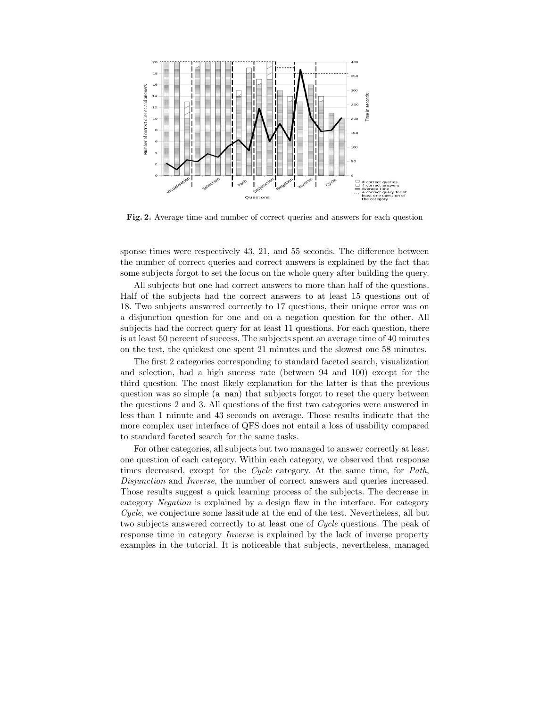

Fig. 2. Average time and number of correct queries and answers for each question

sponse times were respectively 43, 21, and 55 seconds. The difference between the number of correct queries and correct answers is explained by the fact that some subjects forgot to set the focus on the whole query after building the query.

All subjects but one had correct answers to more than half of the questions. Half of the subjects had the correct answers to at least 15 questions out of 18. Two subjects answered correctly to 17 questions, their unique error was on a disjunction question for one and on a negation question for the other. All subjects had the correct query for at least 11 questions. For each question, there is at least 50 percent of success. The subjects spent an average time of 40 minutes on the test, the quickest one spent 21 minutes and the slowest one 58 minutes.

The first 2 categories corresponding to standard faceted search, visualization and selection, had a high success rate (between 94 and 100) except for the third question. The most likely explanation for the latter is that the previous question was so simple (a man) that subjects forgot to reset the query between the questions 2 and 3. All questions of the first two categories were answered in less than 1 minute and 43 seconds on average. Those results indicate that the more complex user interface of QFS does not entail a loss of usability compared to standard faceted search for the same tasks.

For other categories, all subjects but two managed to answer correctly at least one question of each category. Within each category, we observed that response times decreased, except for the Cycle category. At the same time, for Path, Disjunction and Inverse, the number of correct answers and queries increased. Those results suggest a quick learning process of the subjects. The decrease in category Negation is explained by a design flaw in the interface. For category Cycle, we conjecture some lassitude at the end of the test. Nevertheless, all but two subjects answered correctly to at least one of Cycle questions. The peak of response time in category Inverse is explained by the lack of inverse property examples in the tutorial. It is noticeable that subjects, nevertheless, managed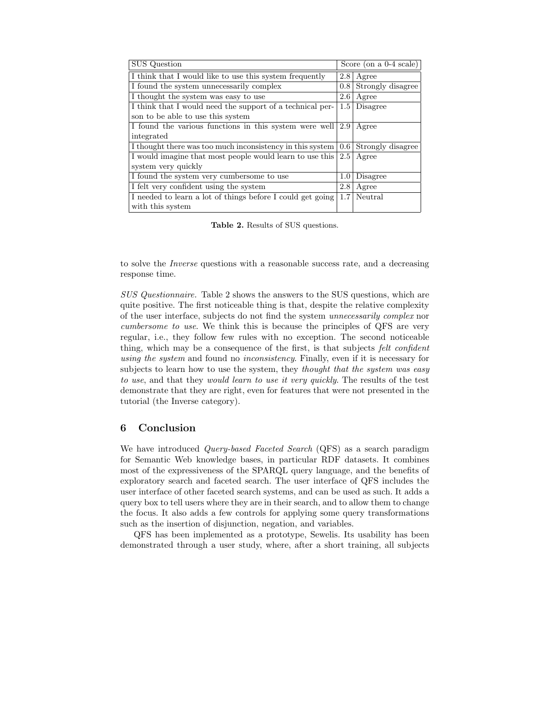| <b>SUS</b> Question                                        | Score (on a $0-4$ scale) |                   |
|------------------------------------------------------------|--------------------------|-------------------|
| I think that I would like to use this system frequently    | 2.8                      | Agree             |
| I found the system unnecessarily complex                   | 0.8                      | Strongly disagree |
| I thought the system was easy to use                       | 2.6                      | Agree             |
| I think that I would need the support of a technical per-  | 1.5                      | Disagree          |
| son to be able to use this system                          |                          |                   |
| I found the various functions in this system were well 2.9 |                          | Agree             |
| integrated                                                 |                          |                   |
| I thought there was too much inconsistency in this system  | $0.6\,$                  | Strongly disagree |
| I would imagine that most people would learn to use this   | 2.5                      | Agree             |
| system very quickly                                        |                          |                   |
| I found the system very cumbersome to use                  | 1.0                      | Disagree          |
| I felt very confident using the system                     | 2.8                      | Agree             |
| I needed to learn a lot of things before I could get going | 1.7                      | Neutral           |
| with this system                                           |                          |                   |

Table 2. Results of SUS questions.

to solve the Inverse questions with a reasonable success rate, and a decreasing response time.

SUS Questionnaire. Table 2 shows the answers to the SUS questions, which are quite positive. The first noticeable thing is that, despite the relative complexity of the user interface, subjects do not find the system unnecessarily complex nor cumbersome to use. We think this is because the principles of QFS are very regular, i.e., they follow few rules with no exception. The second noticeable thing, which may be a consequence of the first, is that subjects felt confident using the system and found no inconsistency. Finally, even if it is necessary for subjects to learn how to use the system, they thought that the system was easy to use, and that they would learn to use it very quickly. The results of the test demonstrate that they are right, even for features that were not presented in the tutorial (the Inverse category).

# 6 Conclusion

We have introduced *Query-based Faceted Search* (QFS) as a search paradigm for Semantic Web knowledge bases, in particular RDF datasets. It combines most of the expressiveness of the SPARQL query language, and the benefits of exploratory search and faceted search. The user interface of QFS includes the user interface of other faceted search systems, and can be used as such. It adds a query box to tell users where they are in their search, and to allow them to change the focus. It also adds a few controls for applying some query transformations such as the insertion of disjunction, negation, and variables.

QFS has been implemented as a prototype, Sewelis. Its usability has been demonstrated through a user study, where, after a short training, all subjects